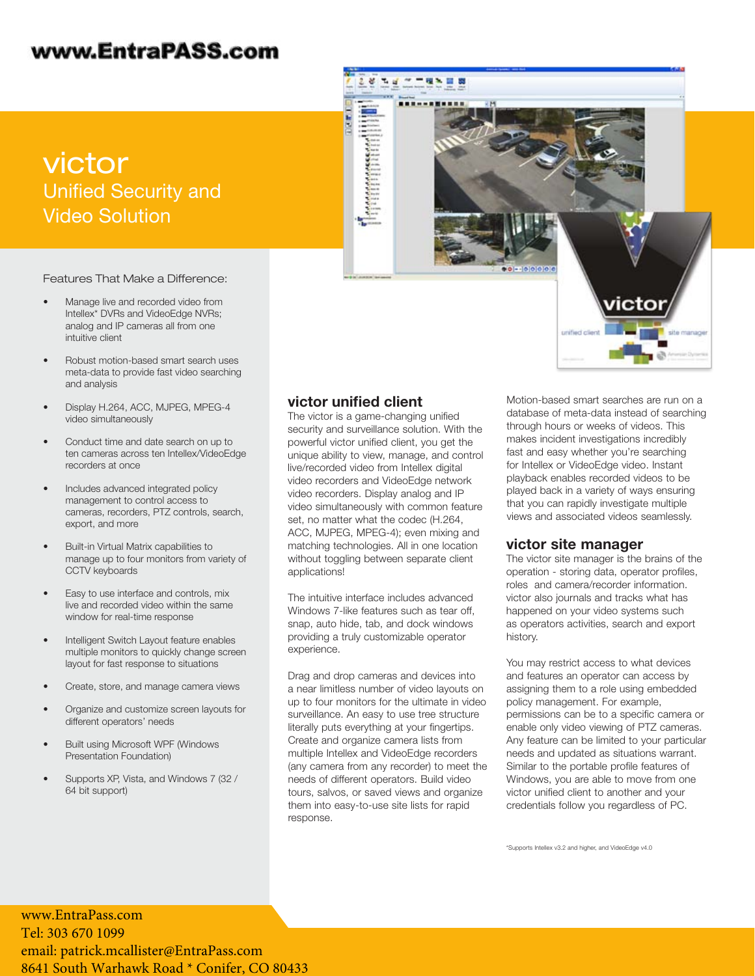# www.EntraPASS.com

victor Unified Security and Video Solution

Features That Make a Difference:

- Manage live and recorded video from Intellex\* DVRs and VideoEdge NVRs; analog and IP cameras all from one intuitive client
- Robust motion-based smart search uses meta-data to provide fast video searching and analysis
- Display H.264, ACC, MJPEG, MPEG-4 video simultaneously
- Conduct time and date search on up to ten cameras across ten Intellex/VideoEdge recorders at once
- Includes advanced integrated policy management to control access to cameras, recorders, PTZ controls, search, export, and more
- Built-in Virtual Matrix capabilities to manage up to four monitors from variety of CCTV keyboards
- Easy to use interface and controls, mix live and recorded video within the same window for real-time response
- Intelligent Switch Layout feature enables multiple monitors to quickly change screen layout for fast response to situations
- Create, store, and manage camera views
- Organize and customize screen layouts for different operators' needs
- Built using Microsoft WPF (Windows Presentation Foundation)
- Supports XP, Vista, and Windows 7 (32 / 64 bit support)

#### victor unified client

The victor is a game-changing unified security and surveillance solution. With the powerful victor unified client, you get the unique ability to view, manage, and control live/recorded video from Intellex digital video recorders and VideoEdge network video recorders. Display analog and IP video simultaneously with common feature set, no matter what the codec (H.264, ACC, MJPEG, MPEG-4); even mixing and matching technologies. All in one location without toggling between separate client applications!

The intuitive interface includes advanced Windows 7-like features such as tear off, snap, auto hide, tab, and dock windows providing a truly customizable operator experience.

Drag and drop cameras and devices into a near limitless number of video layouts on up to four monitors for the ultimate in video surveillance. An easy to use tree structure literally puts everything at your fingertips. Create and organize camera lists from multiple Intellex and VideoEdge recorders (any camera from any recorder) to meet the needs of different operators. Build video tours, salvos, or saved views and organize them into easy-to-use site lists for rapid response.

Motion-based smart searches are run on a database of meta-data instead of searching through hours or weeks of videos. This makes incident investigations incredibly fast and easy whether you're searching for Intellex or VideoEdge video. Instant playback enables recorded videos to be played back in a variety of ways ensuring that you can rapidly investigate multiple views and associated videos seamlessly.

#### victor site manager

The victor site manager is the brains of the operation - storing data, operator profiles, roles and camera/recorder information. victor also journals and tracks what has happened on your video systems such as operators activities, search and export history.

You may restrict access to what devices and features an operator can access by assigning them to a role using embedded policy management. For example, permissions can be to a specific camera or enable only video viewing of PTZ cameras. Any feature can be limited to your particular needs and updated as situations warrant. Similar to the portable profile features of Windows, you are able to move from one victor unified client to another and your credentials follow you regardless of PC.

\*Supports Intellex v3.2 and higher, and VideoEdge v4.0

www.EntraPass.com Tel: 303 670 1099 em[ail: patrick.mcallister@EntraPass.com](http://www.americandynamics.net) 8641 South Warhawk Road \* Conifer, CO 80433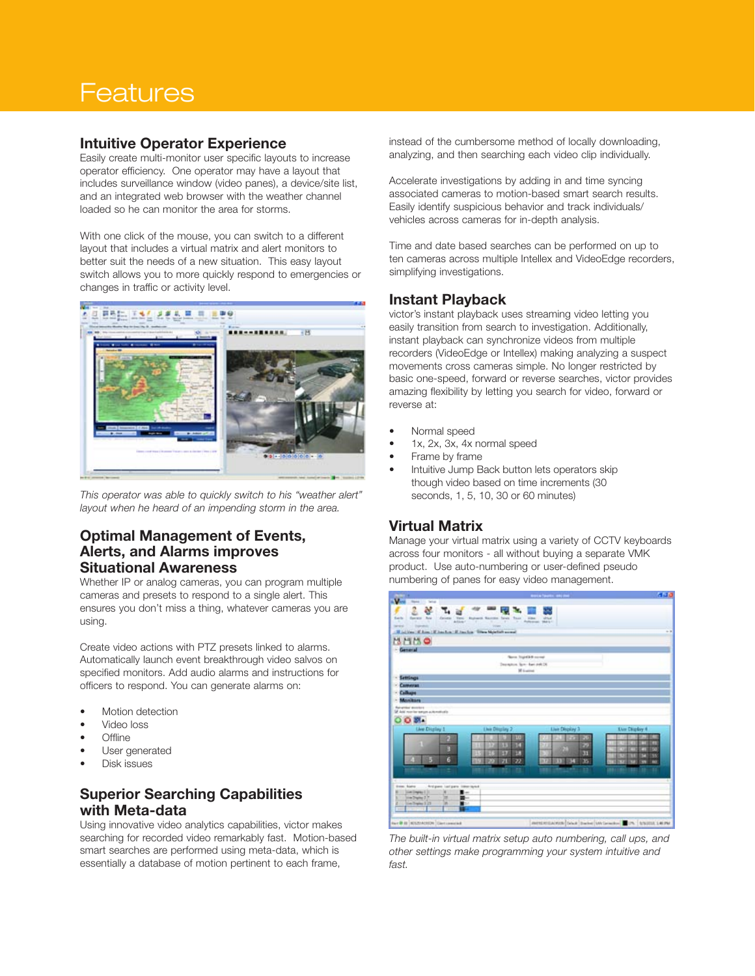# **Features**

#### Intuitive Operator Experience

Easily create multi-monitor user specific layouts to increase operator efficiency. One operator may have a layout that includes surveillance window (video panes), a device/site list, and an integrated web browser with the weather channel loaded so he can monitor the area for storms.

With one click of the mouse, you can switch to a different layout that includes a virtual matrix and alert monitors to better suit the needs of a new situation. This easy layout switch allows you to more quickly respond to emergencies or changes in traffic or activity level.



This operator was able to quickly switch to his "weather alert" layout when he heard of an impending storm in the area.

### Optimal Management of Events, Alerts, and Alarms improves Situational Awareness

Whether IP or analog cameras, you can program multiple cameras and presets to respond to a single alert. This ensures you don't miss a thing, whatever cameras you are using.

Create video actions with PTZ presets linked to alarms. Automatically launch event breakthrough video salvos on specified monitors. Add audio alarms and instructions for officers to respond. You can generate alarms on:

- Motion detection
- Video loss
- Offline
- User generated
- Disk issues

## Superior Searching Capabilities with Meta-data

Using innovative video analytics capabilities, victor makes searching for recorded video remarkably fast. Motion-based smart searches are performed using meta-data, which is essentially a database of motion pertinent to each frame,

instead of the cumbersome method of locally downloading, analyzing, and then searching each video clip individually.

Accelerate investigations by adding in and time syncing associated cameras to motion-based smart search results. Easily identify suspicious behavior and track individuals/ vehicles across cameras for in-depth analysis.

Time and date based searches can be performed on up to ten cameras across multiple Intellex and VideoEdge recorders, simplifying investigations.

## Instant Playback

victor's instant playback uses streaming video letting you easily transition from search to investigation. Additionally, instant playback can synchronize videos from multiple recorders (VideoEdge or Intellex) making analyzing a suspect movements cross cameras simple. No longer restricted by basic one-speed, forward or reverse searches, victor provides amazing flexibility by letting you search for video, forward or reverse at:

- Normal speed
- 1x, 2x, 3x, 4x normal speed
- Frame by frame
- Intuitive Jump Back button lets operators skip though video based on time increments (30 seconds, 1, 5, 10, 30 or 60 minutes)

## Virtual Matrix

Manage your virtual matrix using a variety of CCTV keyboards across four monitors - all without buying a separate VMK product. Use auto-numbering or user-defined pseudo numbering of panes for easy video management.



The built-in virtual matrix setup auto numbering, call ups, and other settings make programming your system intuitive and fast.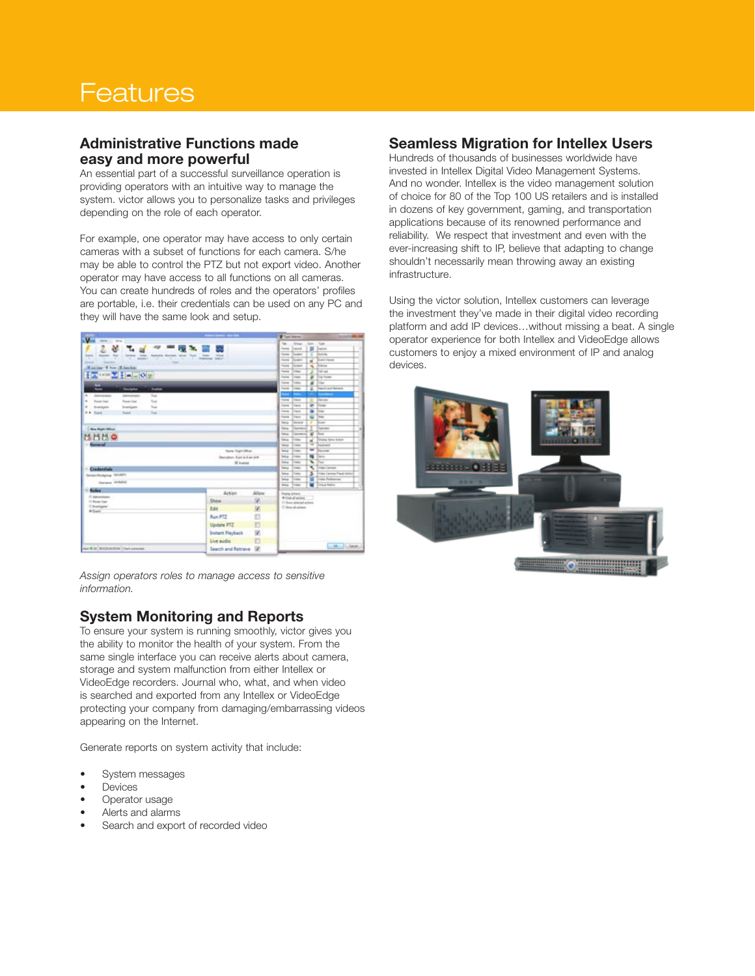# **Features**

### Administrative Functions made easy and more powerful

An essential part of a successful surveillance operation is providing operators with an intuitive way to manage the system. victor allows you to personalize tasks and privileges depending on the role of each operator.

For example, one operator may have access to only certain cameras with a subset of functions for each camera. S/he may be able to control the PTZ but not export video. Another operator may have access to all functions on all cameras. You can create hundreds of roles and the operators' profiles are portable, i.e. their credentials can be used on any PC and they will have the same look and setup.

|                                                                                                                                                                                                                      |                                     |              | <b>W</b> San Ground                                                                                                                           |                                                                          |
|----------------------------------------------------------------------------------------------------------------------------------------------------------------------------------------------------------------------|-------------------------------------|--------------|-----------------------------------------------------------------------------------------------------------------------------------------------|--------------------------------------------------------------------------|
| $V -$<br><b>State</b><br>. Mos.<br>2 분.<br>ы.<br>dancer has I liever, that human bundet lane from<br><b>bank</b><br><b>CATCH</b><br>Advanced.<br>×<br>- 1<br><b>Simula</b><br><b>SHAKE</b><br>Minitian When Milandas | state lane: New York<br><b>SALE</b> |              | w<br><b>STORY</b><br><b>Isma</b> Sacrat<br><b>Inches</b><br>Davison<br>x<br><b>Tourist</b><br><b>Tuner</b><br><b>Factor</b><br><b>The man</b> | San Care<br><b>III</b> less<br>Technik<br>al Direction<br><b>Triance</b> |
| <b>【四) 中国 又 【 三 10 日</b>                                                                                                                                                                                             |                                     |              | <b>Toronto</b><br>1444                                                                                                                        | <b>Trail sale</b>                                                        |
|                                                                                                                                                                                                                      |                                     |              | <b>Tourist</b><br>1 caps                                                                                                                      | Trailer                                                                  |
| ᇤ                                                                                                                                                                                                                    |                                     |              | <b>Toronto</b><br><b>Truck</b><br><b>Sund</b>                                                                                                 | <b>STAN</b><br><b>Passed and Retrieve</b>                                |
| <b>Turns</b><br><b>Shortputer</b>                                                                                                                                                                                    |                                     |              | $1 + 100$<br>-                                                                                                                                | ---                                                                      |
| i m<br>- Advisement<br>Truck<br>Ashmanan<br>August Lines<br>to a                                                                                                                                                     |                                     |              | ۰<br><b>Thing</b><br>$\overline{a}$                                                                                                           | Dancer                                                                   |
| Rower Lines<br><b>True</b><br>- Institute<br>Institute                                                                                                                                                               |                                     |              | <b>Turned</b><br>1 mod                                                                                                                        | in Time                                                                  |
| <b>Signal</b><br><b>Sand</b><br><b>N.A. Stand</b>                                                                                                                                                                    |                                     |              | ٠<br><b>Inches</b><br>3 month                                                                                                                 | 3mm                                                                      |
|                                                                                                                                                                                                                      |                                     |              | ₩<br><b>Triang</b>                                                                                                                            | $\frac{1}{2}$                                                            |
|                                                                                                                                                                                                                      |                                     |              | Istua<br>14rew                                                                                                                                | $3 - 4$                                                                  |
| <b>Electron Market Collection</b>                                                                                                                                                                                    |                                     |              | <b>Service</b><br><b><i><u>Stagewice</u></i></b><br>×.                                                                                        | <b>Tuesday</b>                                                           |
| 出出出身                                                                                                                                                                                                                 |                                     |              | ¥<br><b>Internet</b><br><b>Grand</b>                                                                                                          | <b>These</b>                                                             |
|                                                                                                                                                                                                                      |                                     |              | lange.<br><b>Trime</b><br>t.<br>9                                                                                                             | Therita Sales Antonio<br>المدمة                                          |
| - General                                                                                                                                                                                                            | <b>Santa Francishue</b>             |              | <b>Lake Ave</b><br>81111<br>w                                                                                                                 | <b>Service</b>                                                           |
|                                                                                                                                                                                                                      | <b>Bestieve</b> , Ryman Award #     |              | <b>Letta</b><br><b>Trans</b><br>h.<br>×<br><b>Saltage</b>                                                                                     | m                                                                        |
|                                                                                                                                                                                                                      | <b>Millened</b>                     |              | u.<br>w<br><b>Francis</b>                                                                                                                     | c                                                                        |
| - Credentials                                                                                                                                                                                                        |                                     |              | u.<br>€<br>3 toward                                                                                                                           | <b>Company Company</b>                                                   |
| StreetWebpine WORTH                                                                                                                                                                                                  |                                     |              | 3<br><b>Sales</b><br><b>Trans</b>                                                                                                             | <b>Traine Carriers Frank Autor:</b>                                      |
|                                                                                                                                                                                                                      |                                     |              | <b>Lettup</b><br>From a                                                                                                                       | <b>Star Parkers on</b>                                                   |
| <b>Darwin STRASS</b>                                                                                                                                                                                                 |                                     |              | <b>Integrate</b><br>7146                                                                                                                      | <b>USA MALA</b>                                                          |
| <b>Hales</b>                                                                                                                                                                                                         | Action                              | <b>Allaw</b> | <b><i><u>Inster smooth</u></i></b>                                                                                                            |                                                                          |
| E savennes<br><b>C. Pouler Lines</b>                                                                                                                                                                                 | Show                                | u.           | Writing all serious                                                                                                                           |                                                                          |
| C Instigme                                                                                                                                                                                                           | Edit                                |              | 11 does always a test<br>U Ston al actore                                                                                                     |                                                                          |
| <b>Alliant</b>                                                                                                                                                                                                       |                                     | 図            |                                                                                                                                               |                                                                          |
|                                                                                                                                                                                                                      | <b>Bun PTZ</b>                      | b            |                                                                                                                                               |                                                                          |
|                                                                                                                                                                                                                      | <b>Update PTZ</b>                   | Ð            |                                                                                                                                               |                                                                          |
|                                                                                                                                                                                                                      | <b>Instant Playback</b>             | 図            |                                                                                                                                               |                                                                          |
|                                                                                                                                                                                                                      | Live sudio                          | Ð            |                                                                                                                                               |                                                                          |
| nor \$ 10   \$102-\$103 \$   their concent.                                                                                                                                                                          | Search and Retrieve  W.             |              |                                                                                                                                               | 28  L. Dave                                                              |

Assign operators roles to manage access to sensitive information.

### System Monitoring and Reports

To ensure your system is running smoothly, victor gives you the ability to monitor the health of your system. From the same single interface you can receive alerts about camera, storage and system malfunction from either Intellex or VideoEdge recorders. Journal who, what, and when video is searched and exported from any Intellex or VideoEdge protecting your company from damaging/embarrassing videos appearing on the Internet.

Generate reports on system activity that include:

- System messages
- **Devices**
- Operator usage
- Alerts and alarms
- Search and export of recorded video

#### Seamless Migration for Intellex Users

Hundreds of thousands of businesses worldwide have invested in Intellex Digital Video Management Systems. And no wonder. Intellex is the video management solution of choice for 80 of the Top 100 US retailers and is installed in dozens of key government, gaming, and transportation applications because of its renowned performance and reliability. We respect that investment and even with the ever-increasing shift to IP, believe that adapting to change shouldn't necessarily mean throwing away an existing infrastructure.

Using the victor solution, Intellex customers can leverage the investment they've made in their digital video recording platform and add IP devices…without missing a beat. A single operator experience for both Intellex and VideoEdge allows customers to enjoy a mixed environment of IP and analog devices.